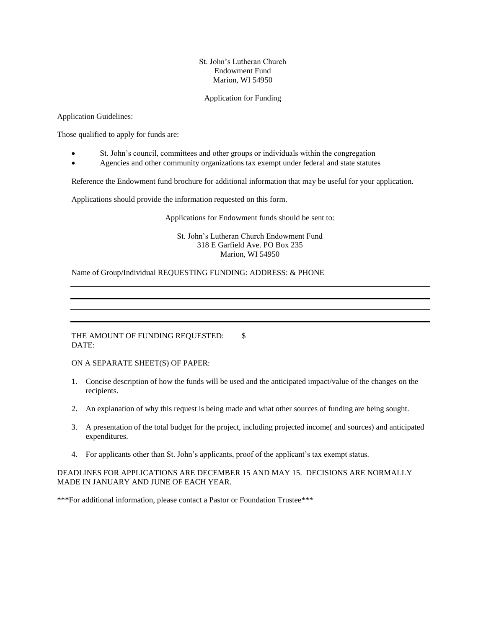## St. John's Lutheran Church Endowment Fund Marion, WI 54950

## Application for Funding

Application Guidelines:

Those qualified to apply for funds are:

- St. John's council, committees and other groups or individuals within the congregation
- Agencies and other community organizations tax exempt under federal and state statutes

Reference the Endowment fund brochure for additional information that may be useful for your application.

Applications should provide the information requested on this form.

Applications for Endowment funds should be sent to:

St. John's Lutheran Church Endowment Fund 318 E Garfield Ave. PO Box 235 Marion, WI 54950

Name of Group/Individual REQUESTING FUNDING: ADDRESS: & PHONE

THE AMOUNT OF FUNDING REQUESTED: \\$ DATE:

ON A SEPARATE SHEET(S) OF PAPER:

- 1. Concise description of how the funds will be used and the anticipated impact/value of the changes on the recipients.
- 2. An explanation of why this request is being made and what other sources of funding are being sought.
- 3. A presentation of the total budget for the project, including projected income( and sources) and anticipated expenditures.
- 4. For applicants other than St. John's applicants, proof of the applicant's tax exempt status.

DEADLINES FOR APPLICATIONS ARE DECEMBER 15 AND MAY 15. DECISIONS ARE NORMALLY MADE IN JANUARY AND JUNE OF EACH YEAR.

\*\*\*For additional information, please contact a Pastor or Foundation Trustee\*\*\*